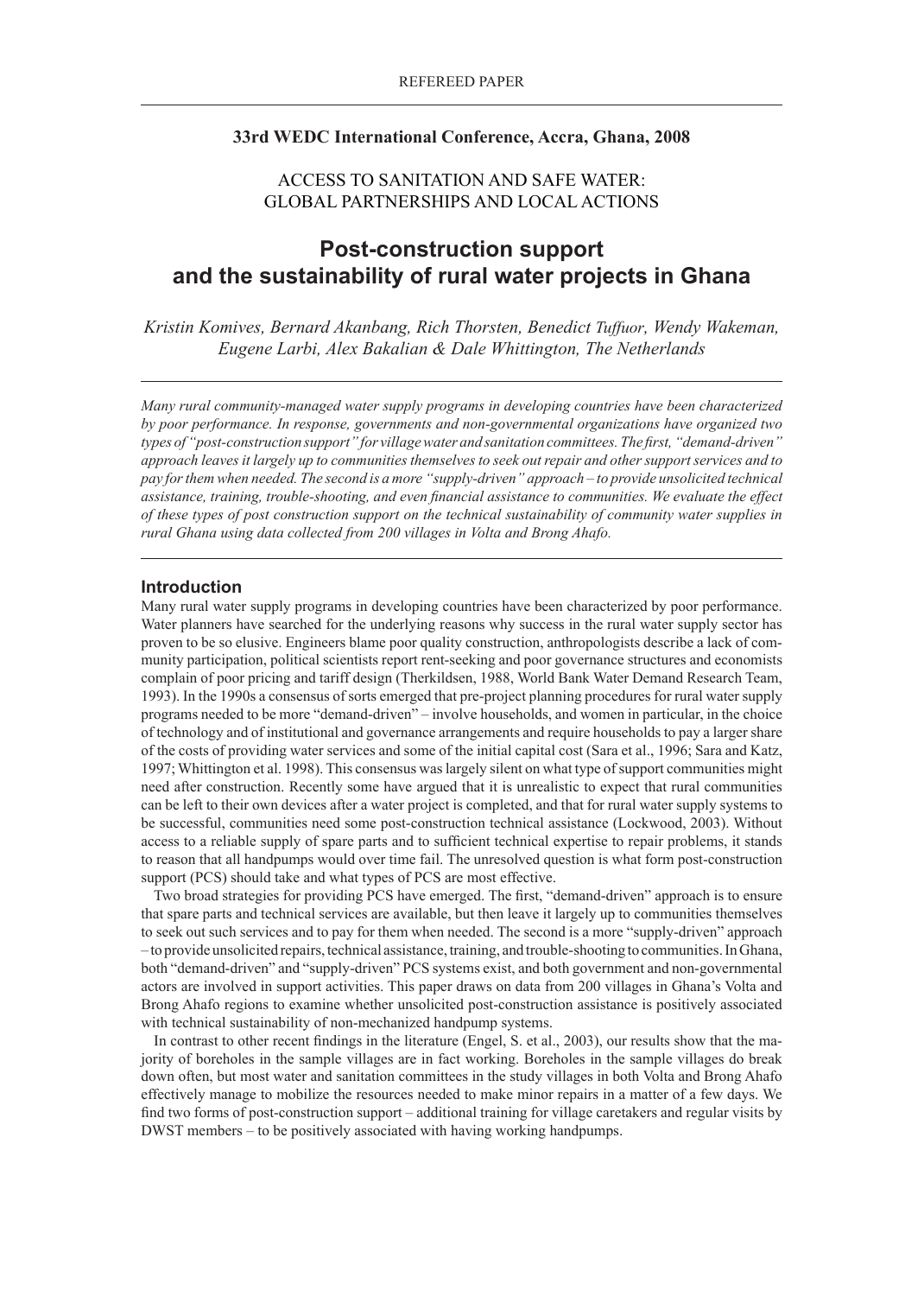# **33rd WEDC International Conference, Accra, Ghana, 2008**

# ACCESS TO SANITATION AND SAFE WATER: GLOBAL PARTNERSHIPS AND LOCAL ACTIONS

# **Post-construction support and the sustainability of rural water projects in Ghana**

*Kristin Komives, Bernard Akanbang, Rich Thorsten, Benedict Tuffuor, Wendy Wakeman, Eugene Larbi, Alex Bakalian & Dale Whittington, The Netherlands*

*Many rural community-managed water supply programs in developing countries have been characterized by poor performance. In response, governments and non-governmental organizations have organized two types of "post-construction support" for village water and sanitation committees. The first, "demand-driven" approach leaves it largely up to communities themselves to seek out repair and other support services and to pay for them when needed. The second is a more "supply-driven" approach – to provide unsolicited technical assistance, training, trouble-shooting, and even financial assistance to communities. We evaluate the effect of these types of post construction support on the technical sustainability of community water supplies in rural Ghana using data collected from 200 villages in Volta and Brong Ahafo.*

## **Introduction**

Many rural water supply programs in developing countries have been characterized by poor performance. Water planners have searched for the underlying reasons why success in the rural water supply sector has proven to be so elusive. Engineers blame poor quality construction, anthropologists describe a lack of community participation, political scientists report rent-seeking and poor governance structures and economists complain of poor pricing and tariff design (Therkildsen, 1988, World Bank Water Demand Research Team, 1993). In the 1990s a consensus of sorts emerged that pre-project planning procedures for rural water supply programs needed to be more "demand-driven" – involve households, and women in particular, in the choice of technology and of institutional and governance arrangements and require households to pay a larger share of the costs of providing water services and some of the initial capital cost (Sara et al., 1996; Sara and Katz, 1997; Whittington et al. 1998). This consensus was largely silent on what type of support communities might need after construction. Recently some have argued that it is unrealistic to expect that rural communities can be left to their own devices after a water project is completed, and that for rural water supply systems to be successful, communities need some post-construction technical assistance (Lockwood, 2003). Without access to a reliable supply of spare parts and to sufficient technical expertise to repair problems, it stands to reason that all handpumps would over time fail. The unresolved question is what form post-construction support (PCS) should take and what types of PCS are most effective.

Two broad strategies for providing PCS have emerged. The first, "demand-driven" approach is to ensure that spare parts and technical services are available, but then leave it largely up to communities themselves to seek out such services and to pay for them when needed. The second is a more "supply-driven" approach – to provide unsolicited repairs, technical assistance, training, and trouble-shooting to communities. In Ghana, both "demand-driven" and "supply-driven" PCS systems exist, and both government and non-governmental actors are involved in support activities. This paper draws on data from 200 villages in Ghana's Volta and Brong Ahafo regions to examine whether unsolicited post-construction assistance is positively associated with technical sustainability of non-mechanized handpump systems.

In contrast to other recent findings in the literature (Engel, S. et al., 2003), our results show that the majority of boreholes in the sample villages are in fact working. Boreholes in the sample villages do break down often, but most water and sanitation committees in the study villages in both Volta and Brong Ahafo effectively manage to mobilize the resources needed to make minor repairs in a matter of a few days. We find two forms of post-construction support – additional training for village caretakers and regular visits by DWST members – to be positively associated with having working handpumps.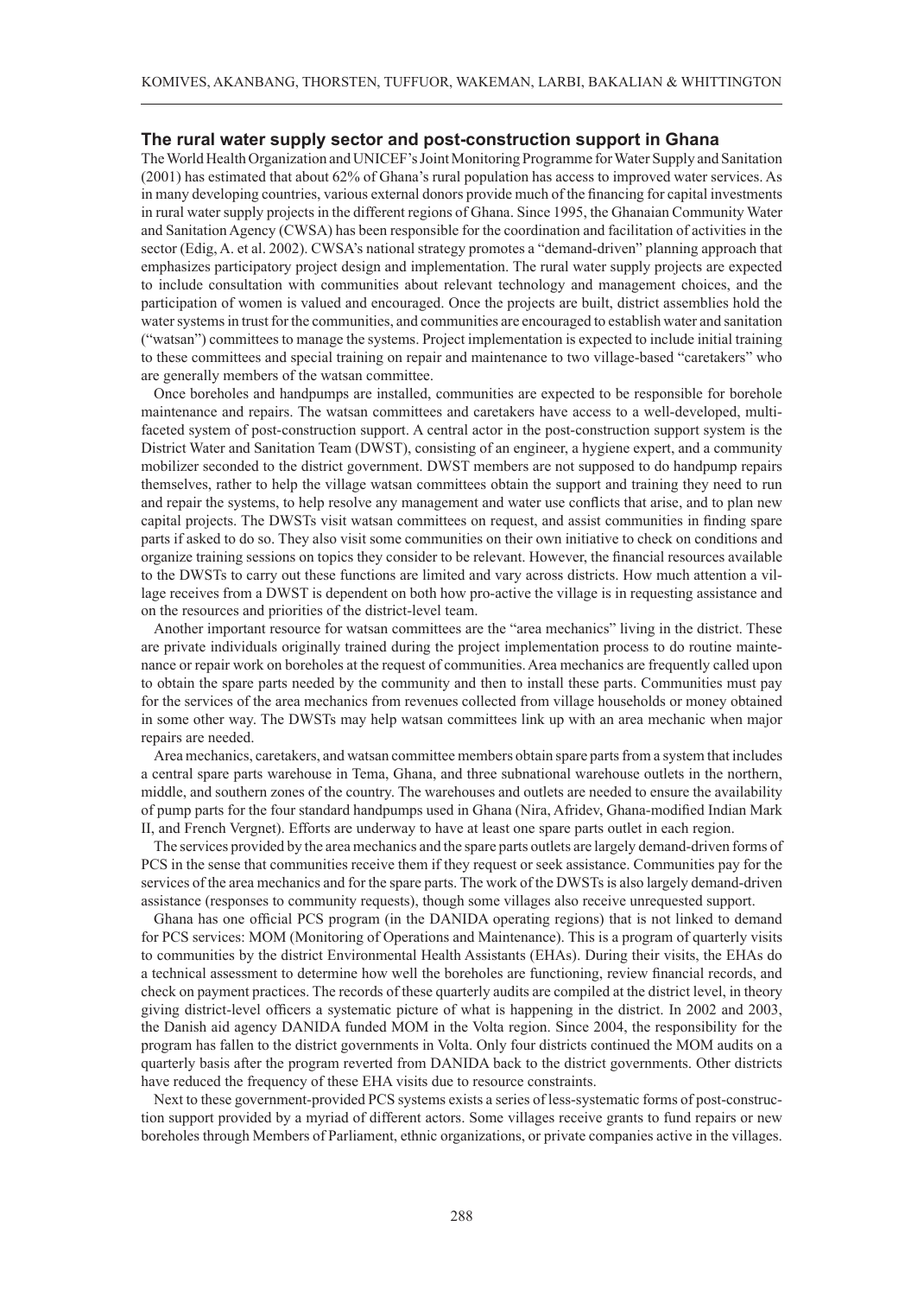# **The rural water supply sector and post-construction support in Ghana**

The World Health Organization and UNICEF's Joint Monitoring Programme for Water Supply and Sanitation (2001) has estimated that about 62% of Ghana's rural population has access to improved water services. As in many developing countries, various external donors provide much of the financing for capital investments in rural water supply projects in the different regions of Ghana. Since 1995, the Ghanaian Community Water and Sanitation Agency (CWSA) has been responsible for the coordination and facilitation of activities in the sector (Edig, A. et al. 2002). CWSA's national strategy promotes a "demand-driven" planning approach that emphasizes participatory project design and implementation. The rural water supply projects are expected to include consultation with communities about relevant technology and management choices, and the participation of women is valued and encouraged. Once the projects are built, district assemblies hold the water systems in trust for the communities, and communities are encouraged to establish water and sanitation ("watsan") committees to manage the systems. Project implementation is expected to include initial training to these committees and special training on repair and maintenance to two village-based "caretakers" who are generally members of the watsan committee.

Once boreholes and handpumps are installed, communities are expected to be responsible for borehole maintenance and repairs. The watsan committees and caretakers have access to a well-developed, multifaceted system of post-construction support. A central actor in the post-construction support system is the District Water and Sanitation Team (DWST), consisting of an engineer, a hygiene expert, and a community mobilizer seconded to the district government. DWST members are not supposed to do handpump repairs themselves, rather to help the village watsan committees obtain the support and training they need to run and repair the systems, to help resolve any management and water use conflicts that arise, and to plan new capital projects. The DWSTs visit watsan committees on request, and assist communities in finding spare parts if asked to do so. They also visit some communities on their own initiative to check on conditions and organize training sessions on topics they consider to be relevant. However, the financial resources available to the DWSTs to carry out these functions are limited and vary across districts. How much attention a village receives from a DWST is dependent on both how pro-active the village is in requesting assistance and on the resources and priorities of the district-level team.

Another important resource for watsan committees are the "area mechanics" living in the district. These are private individuals originally trained during the project implementation process to do routine maintenance or repair work on boreholes at the request of communities. Area mechanics are frequently called upon to obtain the spare parts needed by the community and then to install these parts. Communities must pay for the services of the area mechanics from revenues collected from village households or money obtained in some other way. The DWSTs may help watsan committees link up with an area mechanic when major repairs are needed.

Area mechanics, caretakers, and watsan committee members obtain spare parts from a system that includes a central spare parts warehouse in Tema, Ghana, and three subnational warehouse outlets in the northern, middle, and southern zones of the country. The warehouses and outlets are needed to ensure the availability of pump parts for the four standard handpumps used in Ghana (Nira, Afridev, Ghana-modified Indian Mark II, and French Vergnet). Efforts are underway to have at least one spare parts outlet in each region.

The services provided by the area mechanics and the spare parts outlets are largely demand-driven forms of PCS in the sense that communities receive them if they request or seek assistance. Communities pay for the services of the area mechanics and for the spare parts. The work of the DWSTs is also largely demand-driven assistance (responses to community requests), though some villages also receive unrequested support.

Ghana has one official PCS program (in the DANIDA operating regions) that is not linked to demand for PCS services: MOM (Monitoring of Operations and Maintenance). This is a program of quarterly visits to communities by the district Environmental Health Assistants (EHAs). During their visits, the EHAs do a technical assessment to determine how well the boreholes are functioning, review financial records, and check on payment practices. The records of these quarterly audits are compiled at the district level, in theory giving district-level officers a systematic picture of what is happening in the district. In 2002 and 2003, the Danish aid agency DANIDA funded MOM in the Volta region. Since 2004, the responsibility for the program has fallen to the district governments in Volta. Only four districts continued the MOM audits on a quarterly basis after the program reverted from DANIDA back to the district governments. Other districts have reduced the frequency of these EHA visits due to resource constraints.

Next to these government-provided PCS systems exists a series of less-systematic forms of post-construction support provided by a myriad of different actors. Some villages receive grants to fund repairs or new boreholes through Members of Parliament, ethnic organizations, or private companies active in the villages.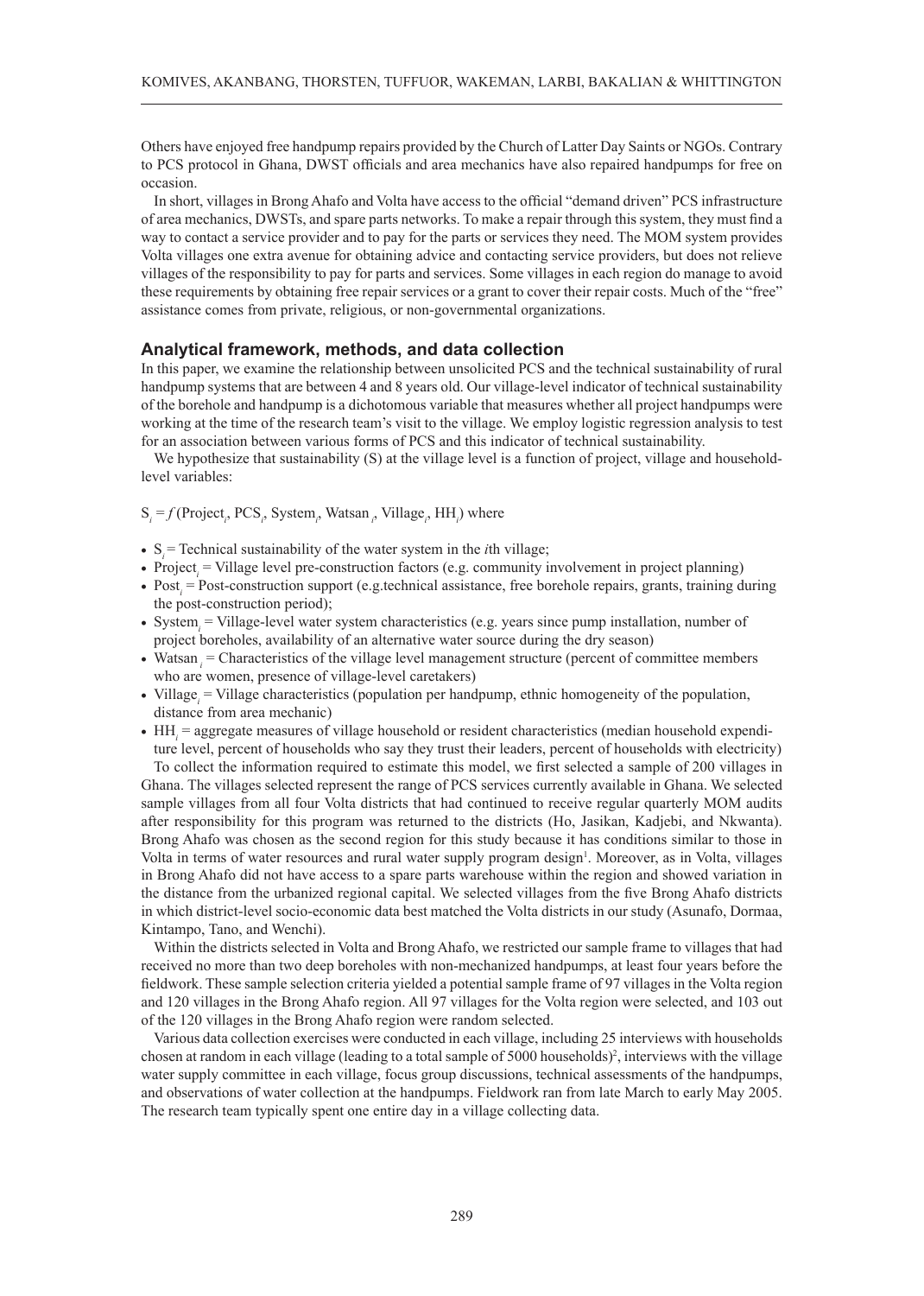Others have enjoyed free handpump repairs provided by the Church of Latter Day Saints or NGOs. Contrary to PCS protocol in Ghana, DWST officials and area mechanics have also repaired handpumps for free on occasion.

In short, villages in Brong Ahafo and Volta have access to the official "demand driven" PCS infrastructure of area mechanics, DWSTs, and spare parts networks. To make a repair through this system, they must find a way to contact a service provider and to pay for the parts or services they need. The MOM system provides Volta villages one extra avenue for obtaining advice and contacting service providers, but does not relieve villages of the responsibility to pay for parts and services. Some villages in each region do manage to avoid these requirements by obtaining free repair services or a grant to cover their repair costs. Much of the "free" assistance comes from private, religious, or non-governmental organizations.

# **Analytical framework, methods, and data collection**

In this paper, we examine the relationship between unsolicited PCS and the technical sustainability of rural handpump systems that are between 4 and 8 years old. Our village-level indicator of technical sustainability of the borehole and handpump is a dichotomous variable that measures whether all project handpumps were working at the time of the research team's visit to the village. We employ logistic regression analysis to test for an association between various forms of PCS and this indicator of technical sustainability.

We hypothesize that sustainability (S) at the village level is a function of project, village and householdlevel variables:

# S<sub>*i*</sub> = *f* (Project<sub>*i*</sub>, PCS<sub>*i*</sub>, System<sub>*i*</sub>, Watsan<sub>*i*</sub>, Village<sub>*i*</sub>, HH<sub>*i*</sub>) where

- $S_i$  = Technical sustainability of the water system in the *i*th village;
- Project<sub>i</sub> = Village level pre-construction factors (e.g. community involvement in project planning)
- $\bullet$  Post<sub>i</sub> = Post-construction support (e.g.technical assistance, free borehole repairs, grants, training during the post-construction period);
- System<sub>i</sub> = Village-level water system characteristics (e.g. years since pump installation, number of project boreholes, availability of an alternative water source during the dry season)
- Watsan<sub>i</sub> = Characteristics of the village level management structure (percent of committee members who are women, presence of village-level caretakers)
- Village<sub>*i*</sub> = Village characteristics (population per handpump, ethnic homogeneity of the population, distance from area mechanic)
- $\bullet$  HH<sub>i</sub> = aggregate measures of village household or resident characteristics (median household expenditure level, percent of households who say they trust their leaders, percent of households with electricity)

To collect the information required to estimate this model, we first selected a sample of 200 villages in Ghana. The villages selected represent the range of PCS services currently available in Ghana. We selected sample villages from all four Volta districts that had continued to receive regular quarterly MOM audits after responsibility for this program was returned to the districts (Ho, Jasikan, Kadjebi, and Nkwanta). Brong Ahafo was chosen as the second region for this study because it has conditions similar to those in Volta in terms of water resources and rural water supply program design<sup>1</sup>. Moreover, as in Volta, villages in Brong Ahafo did not have access to a spare parts warehouse within the region and showed variation in the distance from the urbanized regional capital. We selected villages from the five Brong Ahafo districts in which district-level socio-economic data best matched the Volta districts in our study (Asunafo, Dormaa, Kintampo, Tano, and Wenchi).

Within the districts selected in Volta and Brong Ahafo, we restricted our sample frame to villages that had received no more than two deep boreholes with non-mechanized handpumps, at least four years before the fieldwork. These sample selection criteria yielded a potential sample frame of 97 villages in the Volta region and 120 villages in the Brong Ahafo region. All 97 villages for the Volta region were selected, and 103 out of the 120 villages in the Brong Ahafo region were random selected.

Various data collection exercises were conducted in each village, including 25 interviews with households chosen at random in each village (leading to a total sample of 5000 households)<sup>2</sup>, interviews with the village water supply committee in each village, focus group discussions, technical assessments of the handpumps, and observations of water collection at the handpumps. Fieldwork ran from late March to early May 2005. The research team typically spent one entire day in a village collecting data.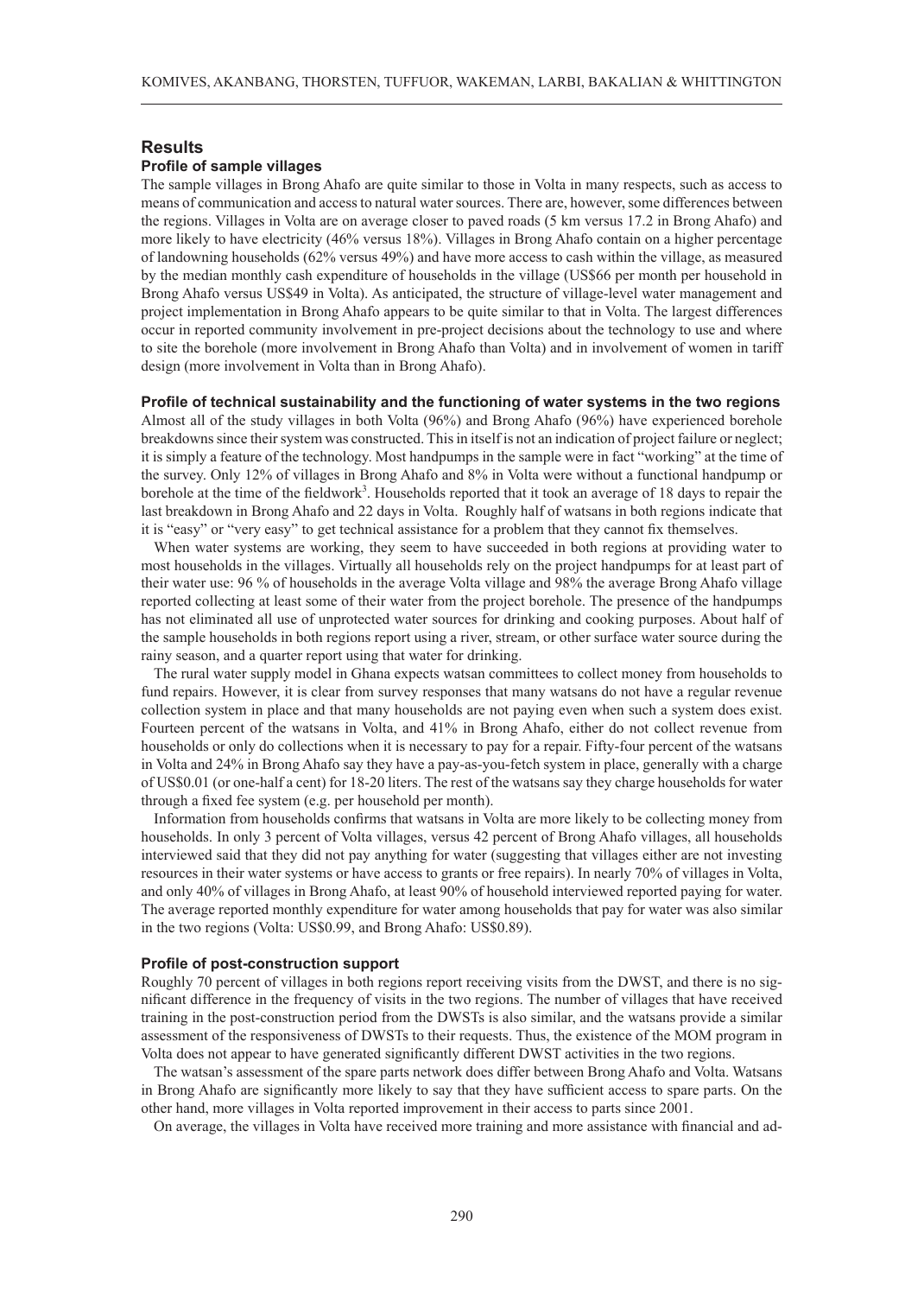# **Results**

## **Profile of sample villages**

The sample villages in Brong Ahafo are quite similar to those in Volta in many respects, such as access to means of communication and access to natural water sources. There are, however, some differences between the regions. Villages in Volta are on average closer to paved roads (5 km versus 17.2 in Brong Ahafo) and more likely to have electricity (46% versus 18%). Villages in Brong Ahafo contain on a higher percentage of landowning households (62% versus 49%) and have more access to cash within the village, as measured by the median monthly cash expenditure of households in the village (US\$66 per month per household in Brong Ahafo versus US\$49 in Volta). As anticipated, the structure of village-level water management and project implementation in Brong Ahafo appears to be quite similar to that in Volta. The largest differences occur in reported community involvement in pre-project decisions about the technology to use and where to site the borehole (more involvement in Brong Ahafo than Volta) and in involvement of women in tariff design (more involvement in Volta than in Brong Ahafo).

## **Profile of technical sustainability and the functioning of water systems in the two regions**

Almost all of the study villages in both Volta (96%) and Brong Ahafo (96%) have experienced borehole breakdowns since their system was constructed. This in itself is not an indication of project failure or neglect; it is simply a feature of the technology. Most handpumps in the sample were in fact "working" at the time of the survey. Only 12% of villages in Brong Ahafo and 8% in Volta were without a functional handpump or borehole at the time of the fieldwork<sup>3</sup>. Households reported that it took an average of 18 days to repair the last breakdown in Brong Ahafo and 22 days in Volta. Roughly half of watsans in both regions indicate that it is "easy" or "very easy" to get technical assistance for a problem that they cannot fix themselves.

When water systems are working, they seem to have succeeded in both regions at providing water to most households in the villages. Virtually all households rely on the project handpumps for at least part of their water use: 96 % of households in the average Volta village and 98% the average Brong Ahafo village reported collecting at least some of their water from the project borehole. The presence of the handpumps has not eliminated all use of unprotected water sources for drinking and cooking purposes. About half of the sample households in both regions report using a river, stream, or other surface water source during the rainy season, and a quarter report using that water for drinking.

The rural water supply model in Ghana expects watsan committees to collect money from households to fund repairs. However, it is clear from survey responses that many watsans do not have a regular revenue collection system in place and that many households are not paying even when such a system does exist. Fourteen percent of the watsans in Volta, and 41% in Brong Ahafo, either do not collect revenue from households or only do collections when it is necessary to pay for a repair. Fifty-four percent of the watsans in Volta and 24% in Brong Ahafo say they have a pay-as-you-fetch system in place, generally with a charge of US\$0.01 (or one-half a cent) for 18-20 liters. The rest of the watsans say they charge households for water through a fixed fee system (e.g. per household per month).

Information from households confirms that watsans in Volta are more likely to be collecting money from households. In only 3 percent of Volta villages, versus 42 percent of Brong Ahafo villages, all households interviewed said that they did not pay anything for water (suggesting that villages either are not investing resources in their water systems or have access to grants or free repairs). In nearly 70% of villages in Volta, and only 40% of villages in Brong Ahafo, at least 90% of household interviewed reported paying for water. The average reported monthly expenditure for water among households that pay for water was also similar in the two regions (Volta: US\$0.99, and Brong Ahafo: US\$0.89).

#### **Profile of post-construction support**

Roughly 70 percent of villages in both regions report receiving visits from the DWST, and there is no significant difference in the frequency of visits in the two regions. The number of villages that have received training in the post-construction period from the DWSTs is also similar, and the watsans provide a similar assessment of the responsiveness of DWSTs to their requests. Thus, the existence of the MOM program in Volta does not appear to have generated significantly different DWST activities in the two regions.

The watsan's assessment of the spare parts network does differ between Brong Ahafo and Volta. Watsans in Brong Ahafo are significantly more likely to say that they have sufficient access to spare parts. On the other hand, more villages in Volta reported improvement in their access to parts since 2001.

On average, the villages in Volta have received more training and more assistance with financial and ad-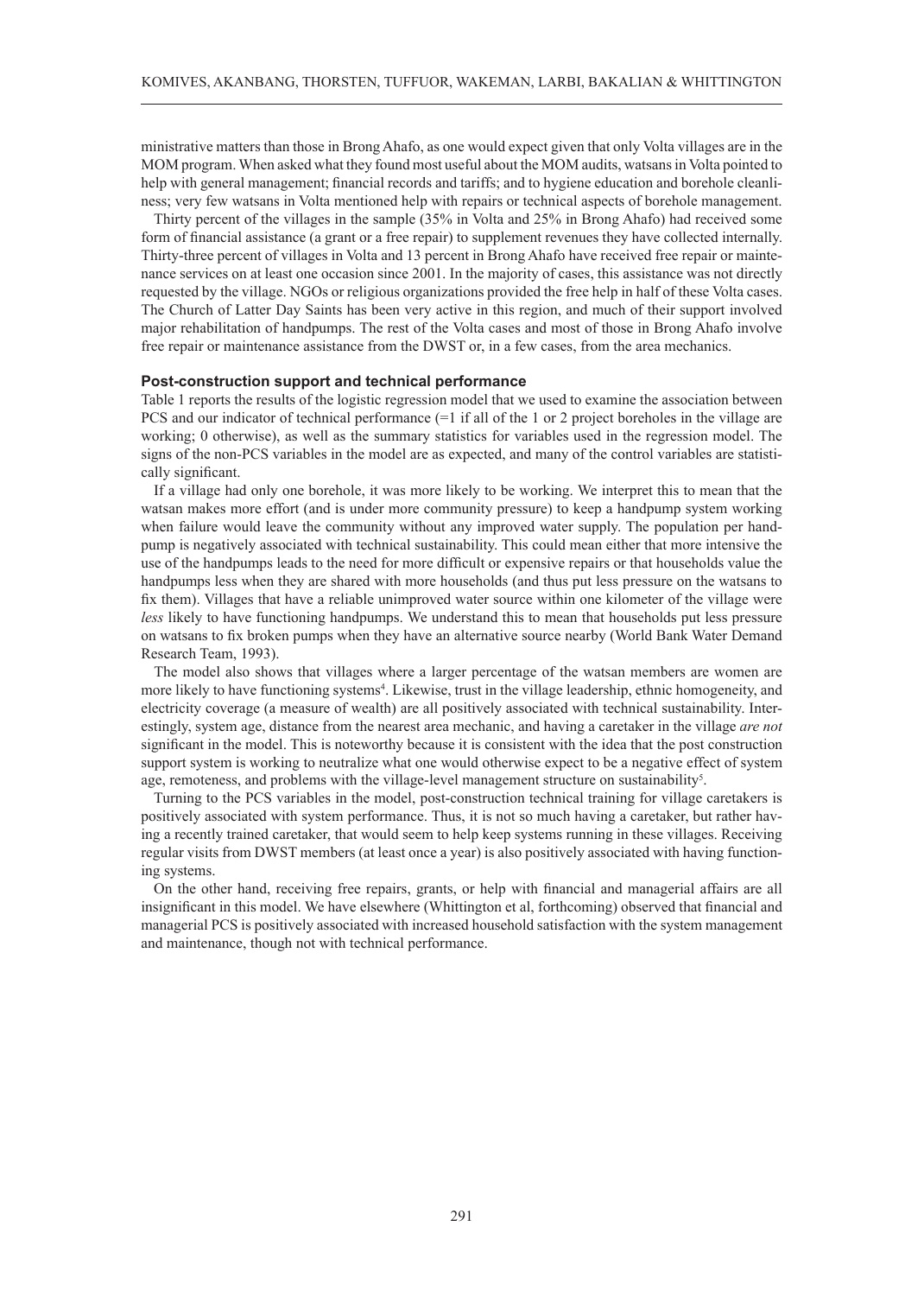ministrative matters than those in Brong Ahafo, as one would expect given that only Volta villages are in the MOM program. When asked what they found most useful about the MOM audits, watsans in Volta pointed to help with general management; financial records and tariffs; and to hygiene education and borehole cleanliness; very few watsans in Volta mentioned help with repairs or technical aspects of borehole management.

Thirty percent of the villages in the sample (35% in Volta and 25% in Brong Ahafo) had received some form of financial assistance (a grant or a free repair) to supplement revenues they have collected internally. Thirty-three percent of villages in Volta and 13 percent in Brong Ahafo have received free repair or maintenance services on at least one occasion since 2001. In the majority of cases, this assistance was not directly requested by the village. NGOs or religious organizations provided the free help in half of these Volta cases. The Church of Latter Day Saints has been very active in this region, and much of their support involved major rehabilitation of handpumps. The rest of the Volta cases and most of those in Brong Ahafo involve free repair or maintenance assistance from the DWST or, in a few cases, from the area mechanics.

# **Post-construction support and technical performance**

Table 1 reports the results of the logistic regression model that we used to examine the association between PCS and our indicator of technical performance (=1 if all of the 1 or 2 project boreholes in the village are working; 0 otherwise), as well as the summary statistics for variables used in the regression model. The signs of the non-PCS variables in the model are as expected, and many of the control variables are statistically significant.

If a village had only one borehole, it was more likely to be working. We interpret this to mean that the watsan makes more effort (and is under more community pressure) to keep a handpump system working when failure would leave the community without any improved water supply. The population per handpump is negatively associated with technical sustainability. This could mean either that more intensive the use of the handpumps leads to the need for more difficult or expensive repairs or that households value the handpumps less when they are shared with more households (and thus put less pressure on the watsans to fix them). Villages that have a reliable unimproved water source within one kilometer of the village were *less* likely to have functioning handpumps. We understand this to mean that households put less pressure on watsans to fix broken pumps when they have an alternative source nearby (World Bank Water Demand Research Team, 1993).

The model also shows that villages where a larger percentage of the watsan members are women are more likely to have functioning systems<sup>4</sup>. Likewise, trust in the village leadership, ethnic homogeneity, and electricity coverage (a measure of wealth) are all positively associated with technical sustainability. Interestingly, system age, distance from the nearest area mechanic, and having a caretaker in the village *are not* significant in the model. This is noteworthy because it is consistent with the idea that the post construction support system is working to neutralize what one would otherwise expect to be a negative effect of system age, remoteness, and problems with the village-level management structure on sustainability<sup>5</sup>.

Turning to the PCS variables in the model, post-construction technical training for village caretakers is positively associated with system performance. Thus, it is not so much having a caretaker, but rather having a recently trained caretaker, that would seem to help keep systems running in these villages. Receiving regular visits from DWST members (at least once a year) is also positively associated with having functioning systems.

On the other hand, receiving free repairs, grants, or help with financial and managerial affairs are all insignificant in this model. We have elsewhere (Whittington et al, forthcoming) observed that financial and managerial PCS is positively associated with increased household satisfaction with the system management and maintenance, though not with technical performance.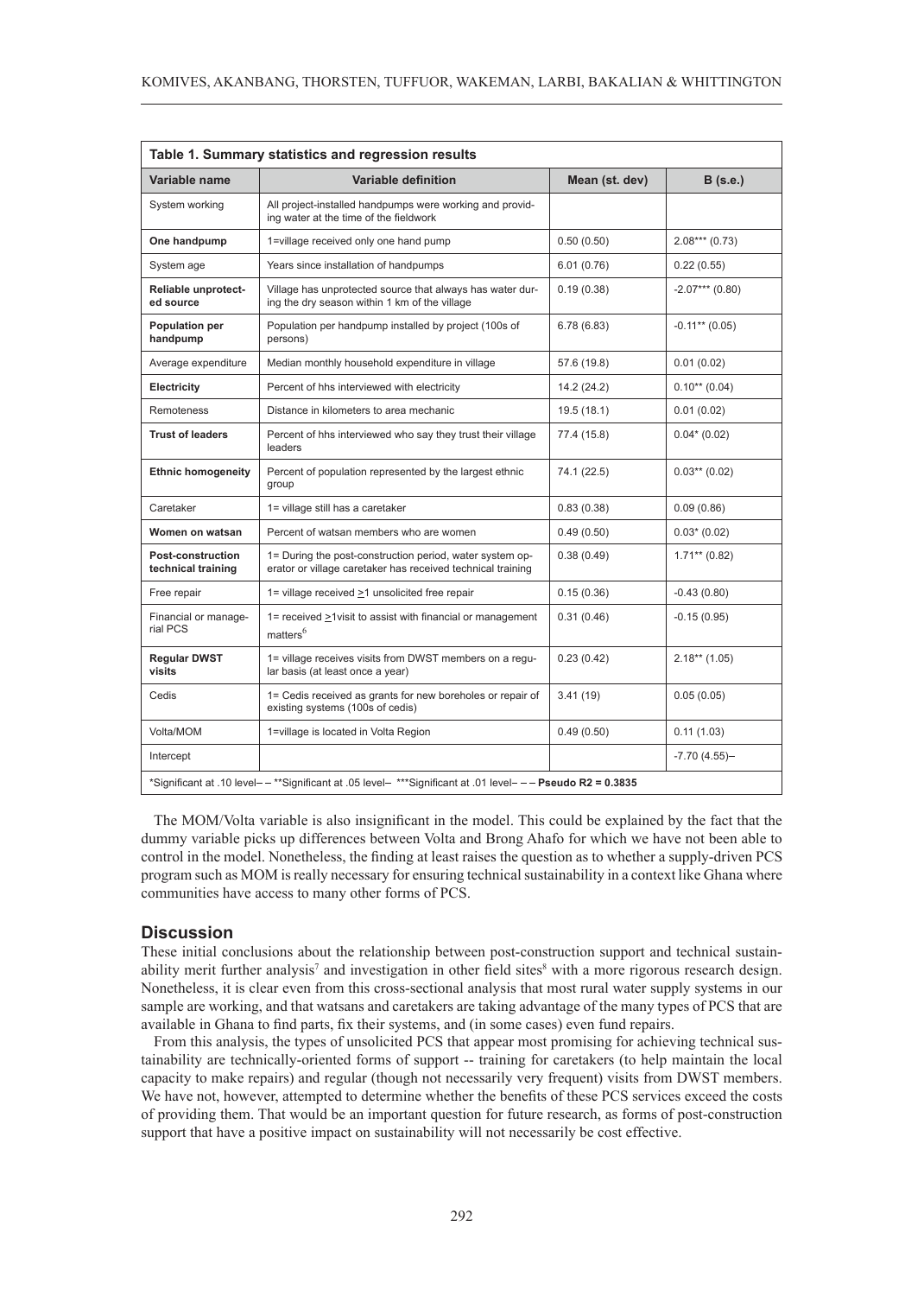| Table 1. Summary statistics and regression results                                                           |                                                                                                                         |                |                   |
|--------------------------------------------------------------------------------------------------------------|-------------------------------------------------------------------------------------------------------------------------|----------------|-------------------|
| Variable name                                                                                                | <b>Variable definition</b>                                                                                              | Mean (st. dev) | $B$ (s.e.)        |
| System working                                                                                               | All project-installed handpumps were working and provid-<br>ing water at the time of the fieldwork                      |                |                   |
| One handpump                                                                                                 | 1=village received only one hand pump                                                                                   | 0.50(0.50)     | $2.08***(0.73)$   |
| System age                                                                                                   | Years since installation of handpumps                                                                                   | 6.01(0.76)     | 0.22(0.55)        |
| <b>Reliable unprotect-</b><br>ed source                                                                      | Village has unprotected source that always has water dur-<br>ing the dry season within 1 km of the village              | 0.19(0.38)     | $-2.07***$ (0.80) |
| <b>Population per</b><br>handpump                                                                            | Population per handpump installed by project (100s of<br>persons)                                                       | 6.78(6.83)     | $-0.11**$ (0.05)  |
| Average expenditure                                                                                          | Median monthly household expenditure in village                                                                         | 57.6 (19.8)    | 0.01(0.02)        |
| <b>Electricity</b>                                                                                           | Percent of hhs interviewed with electricity                                                                             | 14.2 (24.2)    | $0.10**$ (0.04)   |
| Remoteness                                                                                                   | Distance in kilometers to area mechanic                                                                                 | 19.5 (18.1)    | 0.01(0.02)        |
| <b>Trust of leaders</b>                                                                                      | Percent of hhs interviewed who say they trust their village<br>leaders                                                  | 77.4 (15.8)    | $0.04*(0.02)$     |
| <b>Ethnic homogeneity</b>                                                                                    | Percent of population represented by the largest ethnic<br>group                                                        | 74.1 (22.5)    | $0.03**$ (0.02)   |
| Caretaker                                                                                                    | 1= village still has a caretaker                                                                                        | 0.83(0.38)     | 0.09(0.86)        |
| Women on watsan                                                                                              | Percent of watsan members who are women                                                                                 | 0.49(0.50)     | $0.03*$ (0.02)    |
| <b>Post-construction</b><br>technical training                                                               | 1= During the post-construction period, water system op-<br>erator or village caretaker has received technical training | 0.38(0.49)     | $1.71***$ (0.82)  |
| Free repair                                                                                                  | 1= village received >1 unsolicited free repair                                                                          | 0.15(0.36)     | $-0.43(0.80)$     |
| Financial or manage-<br>rial PCS                                                                             | 1= received >1visit to assist with financial or management<br>matters <sup>6</sup>                                      | 0.31(0.46)     | $-0.15(0.95)$     |
| <b>Regular DWST</b><br>visits                                                                                | 1= village receives visits from DWST members on a regu-<br>lar basis (at least once a year)                             | 0.23(0.42)     | $2.18**$ (1.05)   |
| Cedis                                                                                                        | 1= Cedis received as grants for new boreholes or repair of<br>existing systems (100s of cedis)                          | 3.41(19)       | 0.05(0.05)        |
| Volta/MOM                                                                                                    | 1=village is located in Volta Region                                                                                    | 0.49(0.50)     | 0.11(1.03)        |
| Intercept                                                                                                    |                                                                                                                         |                | $-7.70(4.55)$ -   |
| *Significant at .10 level- - **Significant at .05 level- ***Significant at .01 level- - - Pseudo R2 = 0.3835 |                                                                                                                         |                |                   |

The MOM/Volta variable is also insignificant in the model. This could be explained by the fact that the dummy variable picks up differences between Volta and Brong Ahafo for which we have not been able to control in the model. Nonetheless, the finding at least raises the question as to whether a supply-driven PCS program such as MOM is really necessary for ensuring technical sustainability in a context like Ghana where communities have access to many other forms of PCS.

# **Discussion**

These initial conclusions about the relationship between post-construction support and technical sustainability merit further analysis<sup>7</sup> and investigation in other field sites<sup>8</sup> with a more rigorous research design. Nonetheless, it is clear even from this cross-sectional analysis that most rural water supply systems in our sample are working, and that watsans and caretakers are taking advantage of the many types of PCS that are available in Ghana to find parts, fix their systems, and (in some cases) even fund repairs.

From this analysis, the types of unsolicited PCS that appear most promising for achieving technical sustainability are technically-oriented forms of support -- training for caretakers (to help maintain the local capacity to make repairs) and regular (though not necessarily very frequent) visits from DWST members. We have not, however, attempted to determine whether the benefits of these PCS services exceed the costs of providing them. That would be an important question for future research, as forms of post-construction support that have a positive impact on sustainability will not necessarily be cost effective.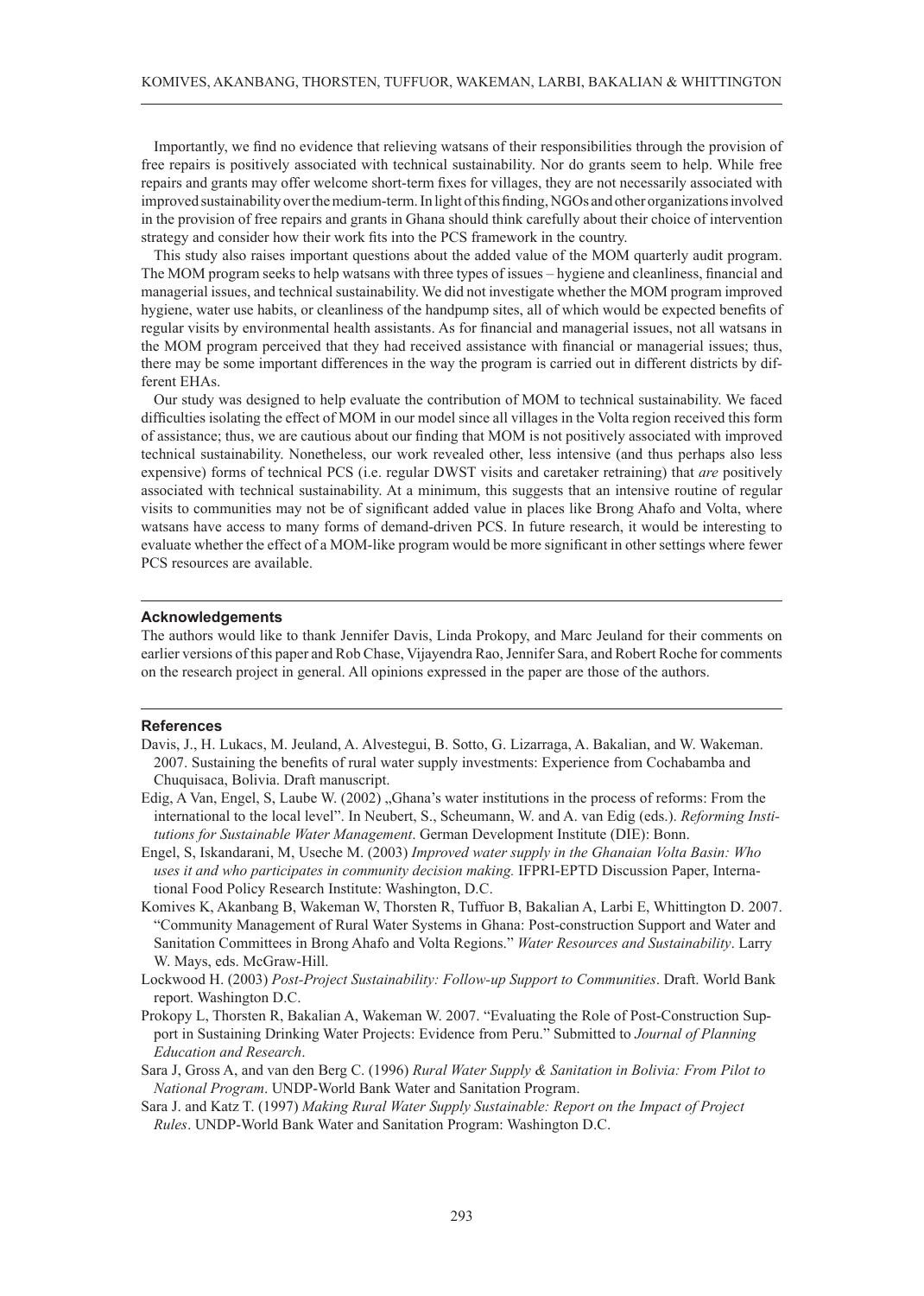Importantly, we find no evidence that relieving watsans of their responsibilities through the provision of free repairs is positively associated with technical sustainability. Nor do grants seem to help. While free repairs and grants may offer welcome short-term fixes for villages, they are not necessarily associated with improved sustainability over the medium-term. In light of this finding, NGOs and other organizations involved in the provision of free repairs and grants in Ghana should think carefully about their choice of intervention strategy and consider how their work fits into the PCS framework in the country.

This study also raises important questions about the added value of the MOM quarterly audit program. The MOM program seeks to help watsans with three types of issues – hygiene and cleanliness, financial and managerial issues, and technical sustainability. We did not investigate whether the MOM program improved hygiene, water use habits, or cleanliness of the handpump sites, all of which would be expected benefits of regular visits by environmental health assistants. As for financial and managerial issues, not all watsans in the MOM program perceived that they had received assistance with financial or managerial issues; thus, there may be some important differences in the way the program is carried out in different districts by different EHAs.

Our study was designed to help evaluate the contribution of MOM to technical sustainability. We faced difficulties isolating the effect of MOM in our model since all villages in the Volta region received this form of assistance; thus, we are cautious about our finding that MOM is not positively associated with improved technical sustainability. Nonetheless, our work revealed other, less intensive (and thus perhaps also less expensive) forms of technical PCS (i.e. regular DWST visits and caretaker retraining) that *are* positively associated with technical sustainability. At a minimum, this suggests that an intensive routine of regular visits to communities may not be of significant added value in places like Brong Ahafo and Volta, where watsans have access to many forms of demand-driven PCS. In future research, it would be interesting to evaluate whether the effect of a MOM-like program would be more significant in other settings where fewer PCS resources are available.

## **Acknowledgements**

The authors would like to thank Jennifer Davis, Linda Prokopy, and Marc Jeuland for their comments on earlier versions of this paper and Rob Chase, Vijayendra Rao, Jennifer Sara, and Robert Roche for comments on the research project in general. All opinions expressed in the paper are those of the authors.

#### **References**

- Davis, J., H. Lukacs, M. Jeuland, A. Alvestegui, B. Sotto, G. Lizarraga, A. Bakalian, and W. Wakeman. 2007. Sustaining the benefits of rural water supply investments: Experience from Cochabamba and Chuquisaca, Bolivia. Draft manuscript.
- Edig, A Van, Engel, S, Laube W. (2002) "Ghana's water institutions in the process of reforms: From the international to the local level". In Neubert, S., Scheumann, W. and A. van Edig (eds.). *Reforming Institutions for Sustainable Water Management*. German Development Institute (DIE): Bonn.
- Engel, S, Iskandarani, M, Useche M. (2003) *Improved water supply in the Ghanaian Volta Basin: Who uses it and who participates in community decision making.* IFPRI-EPTD Discussion Paper, International Food Policy Research Institute: Washington, D.C.
- Komives K, Akanbang B, Wakeman W, Thorsten R, Tuffuor B, Bakalian A, Larbi E, Whittington D. 2007. "Community Management of Rural Water Systems in Ghana: Post-construction Support and Water and Sanitation Committees in Brong Ahafo and Volta Regions." *Water Resources and Sustainability*. Larry W. Mays, eds. McGraw-Hill.
- Lockwood H. (2003) *Post-Project Sustainability: Follow-up Support to Communities*. Draft. World Bank report. Washington D.C.
- Prokopy L, Thorsten R, Bakalian A, Wakeman W. 2007. "Evaluating the Role of Post-Construction Support in Sustaining Drinking Water Projects: Evidence from Peru." Submitted to *Journal of Planning Education and Research*.
- Sara J, Gross A, and van den Berg C. (1996) *Rural Water Supply & Sanitation in Bolivia: From Pilot to National Program*. UNDP-World Bank Water and Sanitation Program.
- Sara J. and Katz T. (1997) *Making Rural Water Supply Sustainable: Report on the Impact of Project Rules*. UNDP-World Bank Water and Sanitation Program: Washington D.C.